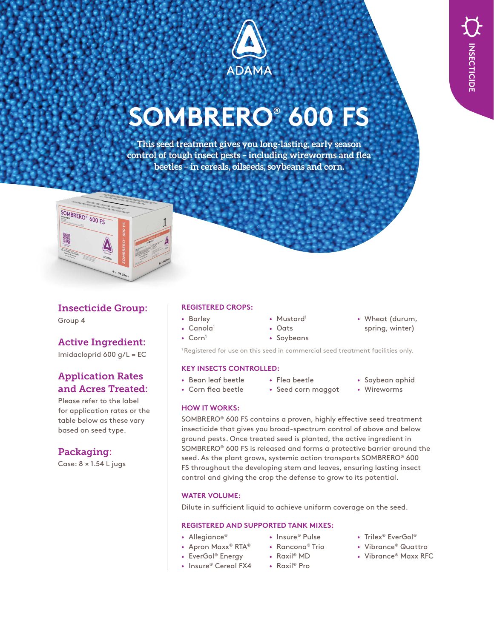

# **SOMBRERO® 600 FS**

**This seed treatment gives you long-lasting, early season control of tough insect pests – including wireworms and flea beetles – in cereals, oilseeds, soybeans and corn.**



## Insecticide Group:

Group 4

# Active Ingredient:

Imidacloprid 600 g/L = EC

# Application Rates and Acres Treated:

Please refer to the label for application rates or the table below as these vary based on seed type.

# Packaging:

Case: 8 × 1.54 L jugs

## **REGISTERED CROPS:**

- Barley
- Mustard<sup>1</sup>
- Canola<sup>1</sup>
- $Corn<sup>1</sup>$
- Oats
- Soybeans

<sup>1</sup> Registered for use on this seed in commercial seed treatment facilities only.

#### **KEY INSECTS CONTROLLED:**

- Bean leaf beetle • Corn flea beetle
- Flea beetle

• Seed corn maggot

• Soybean aphid

• Wheat (durum, spring, winter)

• Wireworms

#### **HOW IT WORKS:**

SOMBRERO® 600 FS contains a proven, highly effective seed treatment insecticide that gives you broad-spectrum control of above and below ground pests. Once treated seed is planted, the active ingredient in SOMBRERO® 600 FS is released and forms a protective barrier around the seed. As the plant grows, systemic action transports SOMBRERO® 600 FS throughout the developing stem and leaves, ensuring lasting insect control and giving the crop the defense to grow to its potential.

#### **WATER VOLUME:**

Dilute in sufficient liquid to achieve uniform coverage on the seed.

## **REGISTERED AND SUPPORTED TANK MIXES:**

- Allegiance®
- 
- Apron Maxx® RTA®
- EverGol® Energy
- Insure® Pulse • Rancona® Trio
- Raxil® MD
- Raxil® Pro
- Trilex® EverGol®
- Vibrance® Quattro
- Vibrance® Maxx RFC

• Insure® Cereal FX4